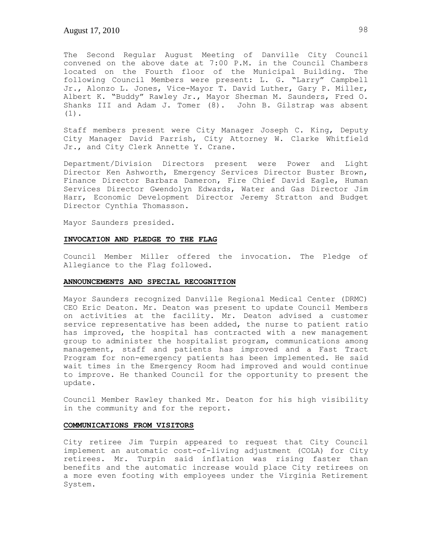The Second Regular August Meeting of Danville City Council convened on the above date at 7:00 P.M. in the Council Chambers located on the Fourth floor of the Municipal Building. The following Council Members were present: L. G. "Larry" Campbell Jr., Alonzo L. Jones, Vice-Mayor T. David Luther, Gary P. Miller, Albert K. "Buddy" Rawley Jr., Mayor Sherman M. Saunders, Fred O. Shanks III and Adam J. Tomer (8). John B. Gilstrap was absent (1).

Staff members present were City Manager Joseph C. King, Deputy City Manager David Parrish, City Attorney W. Clarke Whitfield Jr., and City Clerk Annette Y. Crane.

Department/Division Directors present were Power and Light Director Ken Ashworth, Emergency Services Director Buster Brown, Finance Director Barbara Dameron, Fire Chief David Eagle, Human Services Director Gwendolyn Edwards, Water and Gas Director Jim Harr, Economic Development Director Jeremy Stratton and Budget Director Cynthia Thomasson.

Mayor Saunders presided.

### **INVOCATION AND PLEDGE TO THE FLAG**

Council Member Miller offered the invocation. The Pledge of Allegiance to the Flag followed.

#### **ANNOUNCEMENTS AND SPECIAL RECOGNITION**

Mayor Saunders recognized Danville Regional Medical Center (DRMC) CEO Eric Deaton. Mr. Deaton was present to update Council Members on activities at the facility. Mr. Deaton advised a customer service representative has been added, the nurse to patient ratio has improved, the hospital has contracted with a new management group to administer the hospitalist program, communications among management, staff and patients has improved and a Fast Tract Program for non-emergency patients has been implemented. He said wait times in the Emergency Room had improved and would continue to improve. He thanked Council for the opportunity to present the update.

Council Member Rawley thanked Mr. Deaton for his high visibility in the community and for the report.

#### **COMMUNICATIONS FROM VISITORS**

City retiree Jim Turpin appeared to request that City Council implement an automatic cost-of-living adjustment (COLA) for City retirees. Mr. Turpin said inflation was rising faster than benefits and the automatic increase would place City retirees on a more even footing with employees under the Virginia Retirement System.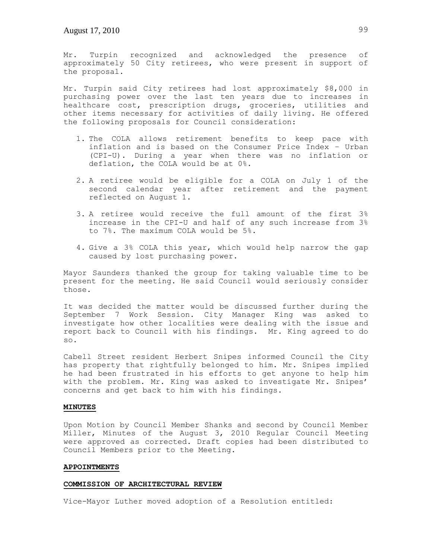Mr. Turpin recognized and acknowledged the presence of approximately 50 City retirees, who were present in support of the proposal.

Mr. Turpin said City retirees had lost approximately \$8,000 in purchasing power over the last ten years due to increases in healthcare cost, prescription drugs, groceries, utilities and other items necessary for activities of daily living. He offered the following proposals for Council consideration:

- 1. The COLA allows retirement benefits to keep pace with inflation and is based on the Consumer Price Index – Urban (CPI-U). During a year when there was no inflation or deflation, the COLA would be at 0%.
- 2. A retiree would be eligible for a COLA on July 1 of the second calendar year after retirement and the payment reflected on August 1.
- 3. A retiree would receive the full amount of the first 3% increase in the CPI-U and half of any such increase from 3% to 7%. The maximum COLA would be 5%.
- 4. Give a 3% COLA this year, which would help narrow the gap caused by lost purchasing power.

Mayor Saunders thanked the group for taking valuable time to be present for the meeting. He said Council would seriously consider those.

It was decided the matter would be discussed further during the September 7 Work Session. City Manager King was asked to investigate how other localities were dealing with the issue and report back to Council with his findings. Mr. King agreed to do so.

Cabell Street resident Herbert Snipes informed Council the City has property that rightfully belonged to him. Mr. Snipes implied he had been frustrated in his efforts to get anyone to help him with the problem. Mr. King was asked to investigate Mr. Snipes' concerns and get back to him with his findings.

# **MINUTES**

Upon Motion by Council Member Shanks and second by Council Member Miller, Minutes of the August 3, 2010 Regular Council Meeting were approved as corrected. Draft copies had been distributed to Council Members prior to the Meeting.

#### **APPOINTMENTS**

### **COMMISSION OF ARCHITECTURAL REVIEW**

Vice-Mayor Luther moved adoption of a Resolution entitled: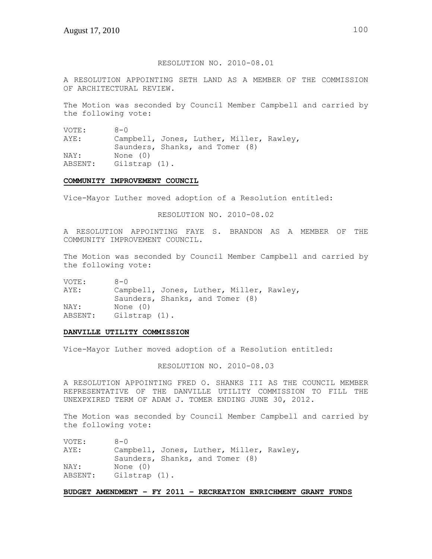# RESOLUTION NO. 2010-08.01

A RESOLUTION APPOINTING SETH LAND AS A MEMBER OF THE COMMISSION OF ARCHITECTURAL REVIEW.

The Motion was seconded by Council Member Campbell and carried by the following vote:

VOTE: 8-0 AYE: Campbell, Jones, Luther, Miller, Rawley, Saunders, Shanks, and Tomer (8) NAY: None (0) ABSENT: Gilstrap (1).

#### **COMMUNITY IMPROVEMENT COUNCIL**

Vice-Mayor Luther moved adoption of a Resolution entitled:

RESOLUTION NO. 2010-08.02

A RESOLUTION APPOINTING FAYE S. BRANDON AS A MEMBER OF THE COMMUNITY IMPROVEMENT COUNCIL.

The Motion was seconded by Council Member Campbell and carried by the following vote:

VOTE: 8-0 AYE: Campbell, Jones, Luther, Miller, Rawley, Saunders, Shanks, and Tomer (8) NAY: None (0) ABSENT: Gilstrap (1).

### **DANVILLE UTILITY COMMISSION**

Vice-Mayor Luther moved adoption of a Resolution entitled:

RESOLUTION NO. 2010-08.03

A RESOLUTION APPOINTING FRED O. SHANKS III AS THE COUNCIL MEMBER REPRESENTATIVE OF THE DANVILLE UTILITY COMMISSION TO FILL THE UNEXPXIRED TERM OF ADAM J. TOMER ENDING JUNE 30, 2012.

The Motion was seconded by Council Member Campbell and carried by the following vote:

| VOTE:   | $8 - 0$                                                                     |
|---------|-----------------------------------------------------------------------------|
| AYE:    | Campbell, Jones, Luther, Miller, Rawley,<br>Saunders, Shanks, and Tomer (8) |
| NAY:    | None (0)                                                                    |
| ABSENT: | Gilstrap (1).                                                               |

### **BUDGET AMENDMENT – FY 2011 – RECREATION ENRICHMENT GRANT FUNDS**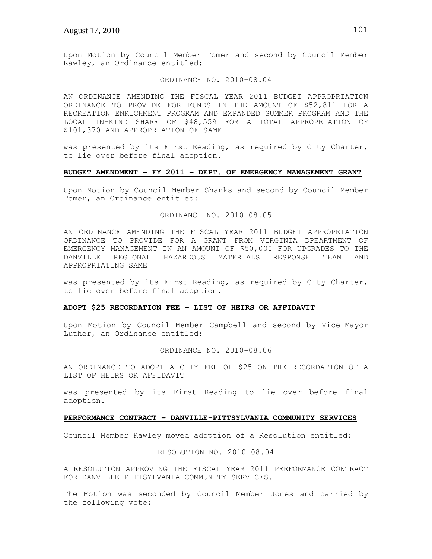Upon Motion by Council Member Tomer and second by Council Member Rawley, an Ordinance entitled:

### ORDINANCE NO. 2010-08.04

AN ORDINANCE AMENDING THE FISCAL YEAR 2011 BUDGET APPROPRIATION ORDINANCE TO PROVIDE FOR FUNDS IN THE AMOUNT OF \$52,811 FOR A RECREATION ENRICHMENT PROGRAM AND EXPANDED SUMMER PROGRAM AND THE LOCAL IN-KIND SHARE OF \$48,559 FOR A TOTAL APPROPRIATION OF \$101,370 AND APPROPRIATION OF SAME

was presented by its First Reading, as required by City Charter, to lie over before final adoption.

# **BUDGET AMENDMENT – FY 2011 – DEPT. OF EMERGENCY MANAGEMENT GRANT**

Upon Motion by Council Member Shanks and second by Council Member Tomer, an Ordinance entitled:

# ORDINANCE NO. 2010-08.05

AN ORDINANCE AMENDING THE FISCAL YEAR 2011 BUDGET APPROPRIATION ORDINANCE TO PROVIDE FOR A GRANT FROM VIRGINIA DPEARTMENT OF EMERGENCY MANAGEMENT IN AN AMOUNT OF \$50,000 FOR UPGRADES TO THE DANVILLE REGIONAL HAZARDOUS MATERIALS RESPONSE TEAM AND APPROPRIATING SAME

was presented by its First Reading, as required by City Charter, to lie over before final adoption.

### **ADOPT \$25 RECORDATION FEE – LIST OF HEIRS OR AFFIDAVIT**

Upon Motion by Council Member Campbell and second by Vice-Mayor Luther, an Ordinance entitled:

## ORDINANCE NO. 2010-08.06

AN ORDINANCE TO ADOPT A CITY FEE OF \$25 ON THE RECORDATION OF A LIST OF HEIRS OR AFFIDAVIT

was presented by its First Reading to lie over before final adoption.

#### **PERFORMANCE CONTRACT – DANVILLE-PITTSYLVANIA COMMUNITY SERVICES**

Council Member Rawley moved adoption of a Resolution entitled:

RESOLUTION NO. 2010-08.04

A RESOLUTION APPROVING THE FISCAL YEAR 2011 PERFORMANCE CONTRACT FOR DANVILLE-PITTSYLVANIA COMMUNITY SERVICES.

The Motion was seconded by Council Member Jones and carried by the following vote: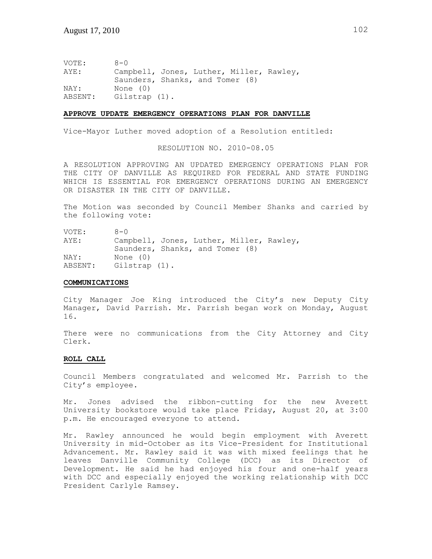VOTE: 8-0 AYE: Campbell, Jones, Luther, Miller, Rawley, Saunders, Shanks, and Tomer (8) NAY: None (0) ABSENT: Gilstrap (1).

#### **APPROVE UPDATE EMERGENCY OPERATIONS PLAN FOR DANVILLE**

Vice-Mayor Luther moved adoption of a Resolution entitled:

RESOLUTION NO. 2010-08.05

A RESOLUTION APPROVING AN UPDATED EMERGENCY OPERATIONS PLAN FOR THE CITY OF DANVILLE AS REQUIRED FOR FEDERAL AND STATE FUNDING WHICH IS ESSENTIAL FOR EMERGENCY OPERATIONS DURING AN EMERGENCY OR DISASTER IN THE CITY OF DANVILLE.

The Motion was seconded by Council Member Shanks and carried by the following vote:

VOTE: 8-0 AYE: Campbell, Jones, Luther, Miller, Rawley, Saunders, Shanks, and Tomer (8) NAY: None (0) ABSENT: Gilstrap (1).

#### **COMMUNICATIONS**

City Manager Joe King introduced the City's new Deputy City Manager, David Parrish. Mr. Parrish began work on Monday, August 16.

There were no communications from the City Attorney and City Clerk.

### **ROLL CALL**

Council Members congratulated and welcomed Mr. Parrish to the City's employee.

Mr. Jones advised the ribbon-cutting for the new Averett University bookstore would take place Friday, August 20, at 3:00 p.m. He encouraged everyone to attend.

Mr. Rawley announced he would begin employment with Averett University in mid-October as its Vice-President for Institutional Advancement. Mr. Rawley said it was with mixed feelings that he leaves Danville Community College (DCC) as its Director of Development. He said he had enjoyed his four and one-half years with DCC and especially enjoyed the working relationship with DCC President Carlyle Ramsey.